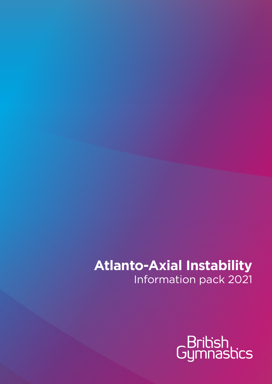# **Atlanto-Axial Instability**  Information pack 2021

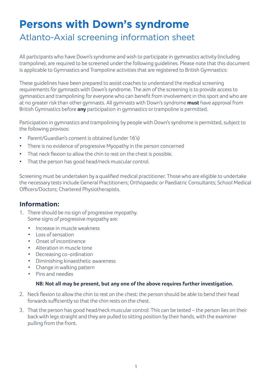# **Persons with Down's syndrome**

## Atlanto-Axial screening information sheet

All participants who have Down's syndrome and wish to participate in gymnastics activity (including trampoline), are required to be screened under the following guidelines. Please note that this document is applicable to Gymnastics and Trampoline activities that are registered to British Gymnastics:

These guidelines have been prepared to assist coaches to understand the medical screening requirements for gymnasts with Down's syndrome. The aim of the screening is to provide access to gymnastics and trampolining for everyone who can benefit from involvement in this sport and who are at no greater risk than other gymnasts. All gymnasts with Down's syndrome **must** have approval from British Gymnastics before **any** participation in gymnastics or trampoline is permitted.

Participation in gymnastics and trampolining by people with Down's syndrome is permitted, subject to the following provisos:

- Parent/Guardian's consent is obtained (under 16's)
- There is no evidence of progressive Myopathy in the person concerned
- That neck flexion to allow the chin to rest on the chest is possible.
- That the person has good head/neck muscular control.

Screening must be undertaken by a qualified medical practitioner. Those who are eligible to undertake the necessary tests include General Practitioners; Orthopaedic or Paediatric Consultants; School Medical Officers/Doctors; Chartered Physiotherapists.

## **Information:**

- 1. There should be no sign of progressive myopathy. Some signs of progressive myopathy are:
	- Increase in muscle weakness
	- Loss of sensation
	- Onset of incontinence
	- Alteration in muscle tone
	- Decreasing co-ordination
	- Diminishing kinaesthetic awareness
	- Change in walking pattern
	- Pins and needles

### **NB: Not all may be present, but any one of the above requires further investigation.**

- 2. Neck flexion to allow the chin to rest on the chest: the person should be able to bend their head forwards sufficiently so that the chin rests on the chest.
- 3. That the person has good head/neck muscular control: This can be tested the person lies on their back with legs straight and they are pulled to sitting position by their hands, with the examiner pulling from the front.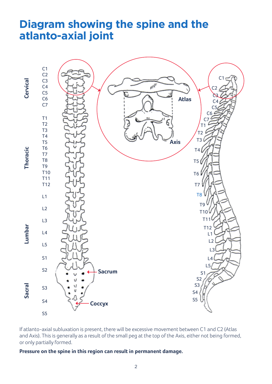## **Diagram showing the spine and the atlanto-axial joint**



If atlanto-axial subluxation is present, there will be excessive movement between C1 and C2 (Atlas and Axis). This is generally as a result of the small peg at the top of the Axis, either not being formed, or only partially formed.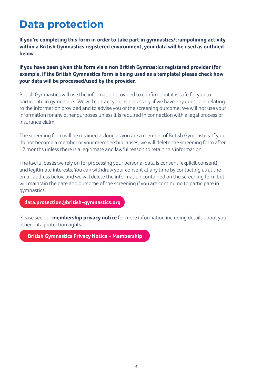# **Data protection**

**If you're completing this form in order to take part in gymnastics/trampolining activity within a British Gymnastics registered environment, your data will be used as outlined below.**

**If you have been given this form via a non British Gymnastics registered provider (for example, if the British Gymnastics form is being used as a template) please check how your data will be processed/used by the provider.**

British Gymnastics will use the information provided to confirm that it is safe for you to participate in gymnastics. We will contact you, as necessary, if we have any questions relating to the information provided and to advise you of the screening outcome. We will not use your information for any other purposes unless it is required in connection with a legal process or insurance claim.

The screening form will be retained as long as you are a member of British Gymnastics. If you do not become a member or your membership lapses, we will delete the screening form after 12 months unless there is a legitimate and lawful reason to retain this information.

The lawful bases we rely on for processing your personal data is consent (explicit consent) and legitimate interests. You can withdraw your consent at any time by contacting us at the email address below and we will delete the information contained on the screening form but will maintain the date and outcome of the screening if you are continuing to participate in gymnastics.

**[data.protection@british-gymnastics.org](mailto:data.protection%40british-gymnastics.org?subject=)**

Please see our **membership privacy notice** for more information including details about your other data protection rights.

**[British Gymnastics Privacy Notice - Membership](https://www.british-gymnastics.org/members-privacy-policy)**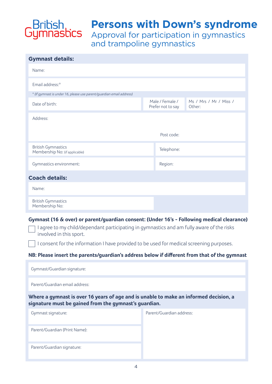

## **Persons with Down's syndrome**

Approval for participation in gymnastics and trampoline gymnastics

| <b>Gymnast details:</b>                                                                                                                                                                 |  |                          |                        |  |
|-----------------------------------------------------------------------------------------------------------------------------------------------------------------------------------------|--|--------------------------|------------------------|--|
| Name:                                                                                                                                                                                   |  |                          |                        |  |
| Email address:*                                                                                                                                                                         |  |                          |                        |  |
| * (If gymnast is under 16, please use parent/guardian email address)                                                                                                                    |  |                          |                        |  |
| Date of birth:                                                                                                                                                                          |  | Male / Female /          | Ms / Mrs / Mr / Miss / |  |
|                                                                                                                                                                                         |  | Prefer not to say        | Other:                 |  |
| Address:                                                                                                                                                                                |  |                          |                        |  |
|                                                                                                                                                                                         |  | Post code:               |                        |  |
|                                                                                                                                                                                         |  |                          |                        |  |
| <b>British Gymnastics</b><br>Membership No: (if applicable)                                                                                                                             |  | Telephone:               |                        |  |
| Gymnastics environment:                                                                                                                                                                 |  | Region:                  |                        |  |
| <b>Coach details:</b>                                                                                                                                                                   |  |                          |                        |  |
| Name:                                                                                                                                                                                   |  |                          |                        |  |
| <b>British Gymnastics</b>                                                                                                                                                               |  |                          |                        |  |
| Membership No:                                                                                                                                                                          |  |                          |                        |  |
| Gymnast (16 & over) or parent/guardian consent: (Under 16's - Following medical clearance)<br>I agree to my child/dependant participating in gymnastics and am fully aware of the risks |  |                          |                        |  |
| involved in this sport.<br>I consent for the information I have provided to be used for medical screening purposes.                                                                     |  |                          |                        |  |
| NB: Please insert the parents/guardian's address below if different from that of the gymnast                                                                                            |  |                          |                        |  |
|                                                                                                                                                                                         |  |                          |                        |  |
| Gymnast/Guardian signature:                                                                                                                                                             |  |                          |                        |  |
| Parent/Guardian email address:                                                                                                                                                          |  |                          |                        |  |
| Where a gymnast is over 16 years of age and is unable to make an informed decision, a<br>signature must be gained from the gymnast's guardian.                                          |  |                          |                        |  |
| Gymnast signature:                                                                                                                                                                      |  | Parent/Guardian address: |                        |  |
| Parent/Guardian (Print Name):                                                                                                                                                           |  |                          |                        |  |
| Parent/Guardian signature:                                                                                                                                                              |  |                          |                        |  |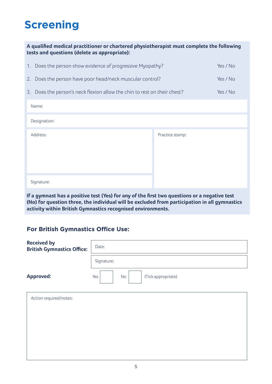# **Screening**

| A qualified medical practitioner or chartered physiotherapist must complete the following<br>tests and questions (delete as appropriate): |                 |          |  |
|-------------------------------------------------------------------------------------------------------------------------------------------|-----------------|----------|--|
| 1. Does the person show evidence of progressive Myopathy?                                                                                 |                 | Yes / No |  |
| 2. Does the person have poor head/neck muscular control?                                                                                  |                 | Yes / No |  |
| 3. Does the person's neck flexion allow the chin to rest on their chest?                                                                  | Yes / No        |          |  |
| Name:                                                                                                                                     |                 |          |  |
| Designation:                                                                                                                              |                 |          |  |
| Address:                                                                                                                                  | Practice stamp: |          |  |
| Signature:                                                                                                                                |                 |          |  |
|                                                                                                                                           |                 |          |  |

**If a gymnast has a positive test (Yes) for any of the first two questions or a negative test (No) for question three, the individual will be excluded from participation in all gymnastics activity within British Gymnastics recognised environments.**

## **For British Gymnastics Office Use:**

| <b>Received by</b><br><b>British Gymnastics Office:</b> | Date:                           |
|---------------------------------------------------------|---------------------------------|
|                                                         | Signature:                      |
| <b>Approved:</b>                                        | No<br>(Tick appropriate)<br>Yes |
| Action required/notes:                                  |                                 |
|                                                         |                                 |
|                                                         |                                 |
|                                                         |                                 |
|                                                         |                                 |